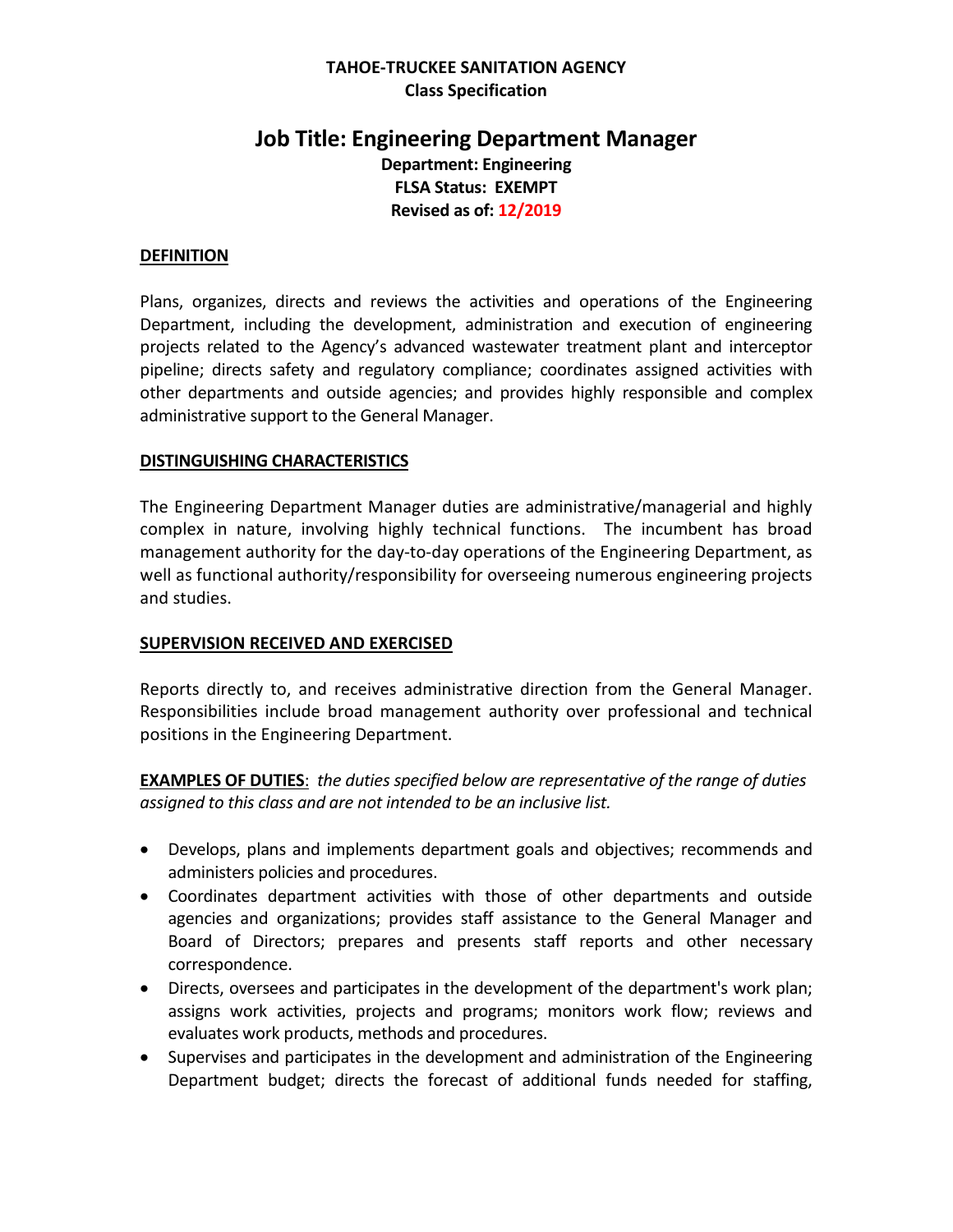### **TAHOE-TRUCKEE SANITATION AGENCY Class Specification**

# **Job Title: Engineering Department Manager Department: Engineering FLSA Status: EXEMPT Revised as of: 12/2019**

#### **DEFINITION**

Plans, organizes, directs and reviews the activities and operations of the Engineering Department, including the development, administration and execution of engineering projects related to the Agency's advanced wastewater treatment plant and interceptor pipeline; directs safety and regulatory compliance; coordinates assigned activities with other departments and outside agencies; and provides highly responsible and complex administrative support to the General Manager.

#### **DISTINGUISHING CHARACTERISTICS**

The Engineering Department Manager duties are administrative/managerial and highly complex in nature, involving highly technical functions. The incumbent has broad management authority for the day-to-day operations of the Engineering Department, as well as functional authority/responsibility for overseeing numerous engineering projects and studies.

#### **SUPERVISION RECEIVED AND EXERCISED**

Reports directly to, and receives administrative direction from the General Manager. Responsibilities include broad management authority over professional and technical positions in the Engineering Department.

**EXAMPLES OF DUTIES**: *the duties specified below are representative of the range of duties assigned to this class and are not intended to be an inclusive list.* 

- Develops, plans and implements department goals and objectives; recommends and administers policies and procedures.
- Coordinates department activities with those of other departments and outside agencies and organizations; provides staff assistance to the General Manager and Board of Directors; prepares and presents staff reports and other necessary correspondence.
- Directs, oversees and participates in the development of the department's work plan; assigns work activities, projects and programs; monitors work flow; reviews and evaluates work products, methods and procedures.
- Supervises and participates in the development and administration of the Engineering Department budget; directs the forecast of additional funds needed for staffing,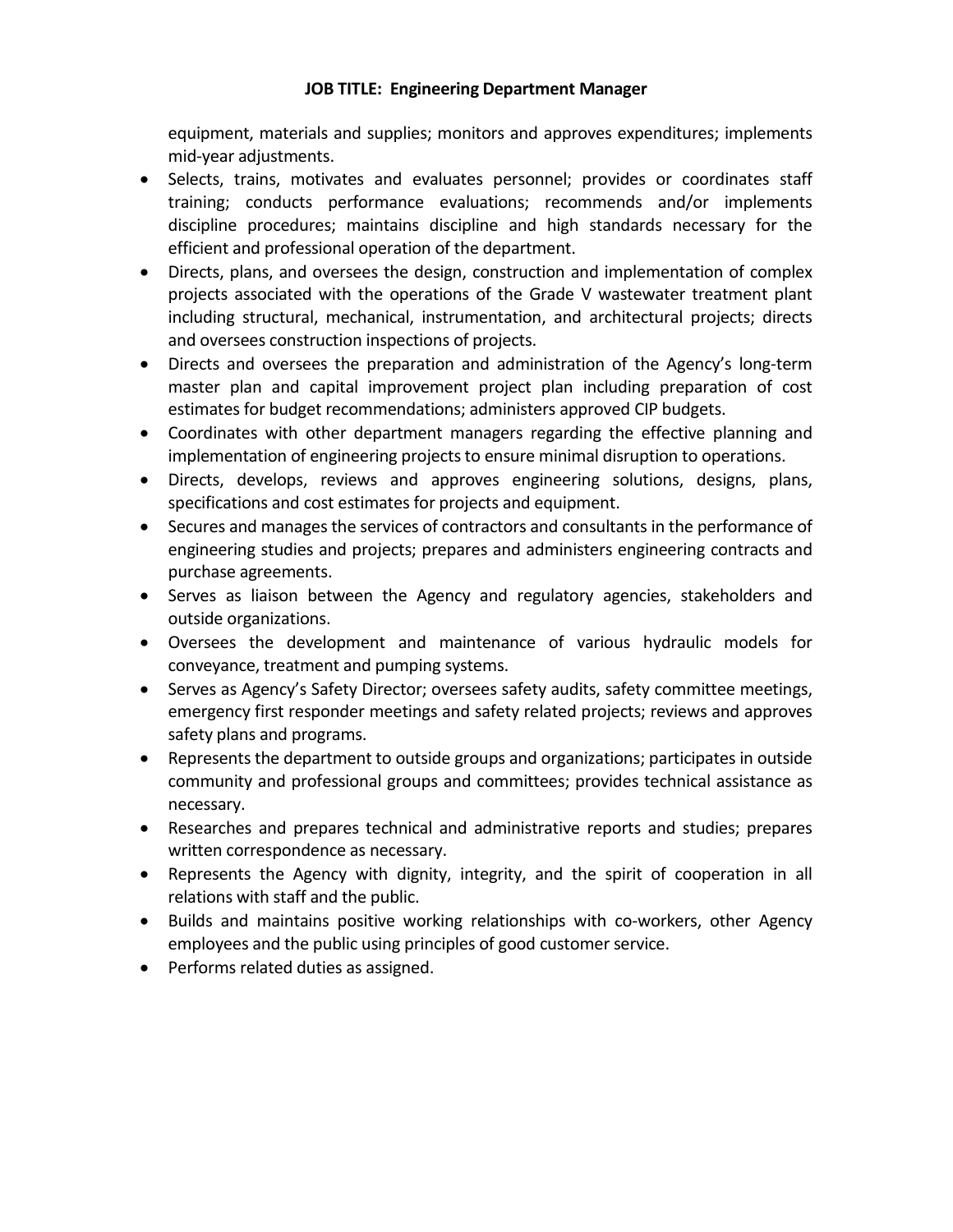equipment, materials and supplies; monitors and approves expenditures; implements mid-year adjustments.

- Selects, trains, motivates and evaluates personnel; provides or coordinates staff training; conducts performance evaluations; recommends and/or implements discipline procedures; maintains discipline and high standards necessary for the efficient and professional operation of the department.
- Directs, plans, and oversees the design, construction and implementation of complex projects associated with the operations of the Grade V wastewater treatment plant including structural, mechanical, instrumentation, and architectural projects; directs and oversees construction inspections of projects.
- Directs and oversees the preparation and administration of the Agency's long-term master plan and capital improvement project plan including preparation of cost estimates for budget recommendations; administers approved CIP budgets.
- Coordinates with other department managers regarding the effective planning and implementation of engineering projects to ensure minimal disruption to operations.
- Directs, develops, reviews and approves engineering solutions, designs, plans, specifications and cost estimates for projects and equipment.
- Secures and manages the services of contractors and consultants in the performance of engineering studies and projects; prepares and administers engineering contracts and purchase agreements.
- Serves as liaison between the Agency and regulatory agencies, stakeholders and outside organizations.
- Oversees the development and maintenance of various hydraulic models for conveyance, treatment and pumping systems.
- Serves as Agency's Safety Director; oversees safety audits, safety committee meetings, emergency first responder meetings and safety related projects; reviews and approves safety plans and programs.
- Represents the department to outside groups and organizations; participates in outside community and professional groups and committees; provides technical assistance as necessary.
- Researches and prepares technical and administrative reports and studies; prepares written correspondence as necessary.
- Represents the Agency with dignity, integrity, and the spirit of cooperation in all relations with staff and the public.
- Builds and maintains positive working relationships with co-workers, other Agency employees and the public using principles of good customer service.
- Performs related duties as assigned.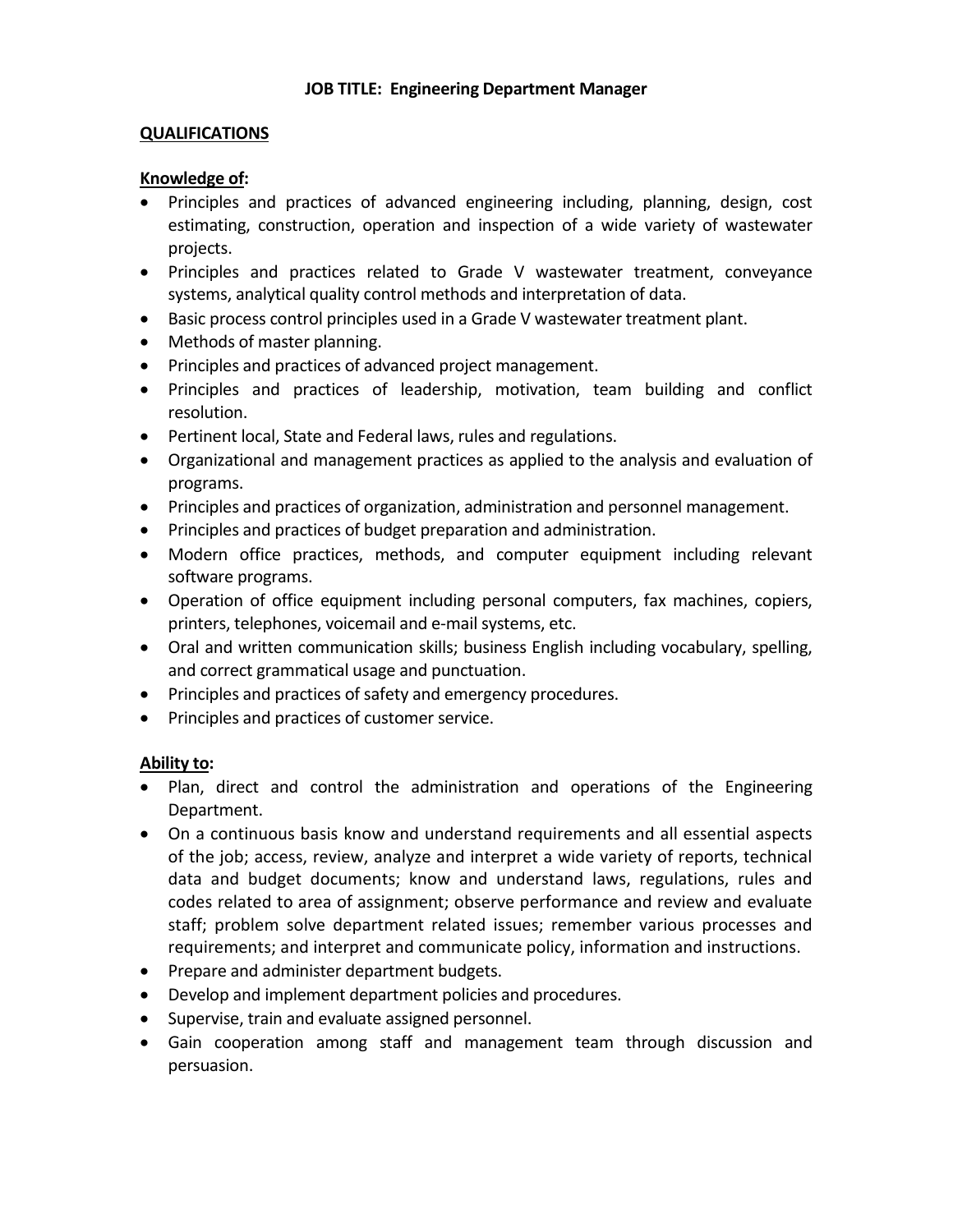#### **QUALIFICATIONS**

#### **Knowledge of:**

- Principles and practices of advanced engineering including, planning, design, cost estimating, construction, operation and inspection of a wide variety of wastewater projects.
- Principles and practices related to Grade V wastewater treatment, conveyance systems, analytical quality control methods and interpretation of data.
- Basic process control principles used in a Grade V wastewater treatment plant.
- Methods of master planning.
- Principles and practices of advanced project management.
- Principles and practices of leadership, motivation, team building and conflict resolution.
- Pertinent local, State and Federal laws, rules and regulations.
- Organizational and management practices as applied to the analysis and evaluation of programs.
- Principles and practices of organization, administration and personnel management.
- Principles and practices of budget preparation and administration.
- Modern office practices, methods, and computer equipment including relevant software programs.
- Operation of office equipment including personal computers, fax machines, copiers, printers, telephones, voicemail and e-mail systems, etc.
- Oral and written communication skills; business English including vocabulary, spelling, and correct grammatical usage and punctuation.
- Principles and practices of safety and emergency procedures.
- Principles and practices of customer service.

#### **Ability to:**

- Plan, direct and control the administration and operations of the Engineering Department.
- On a continuous basis know and understand requirements and all essential aspects of the job; access, review, analyze and interpret a wide variety of reports, technical data and budget documents; know and understand laws, regulations, rules and codes related to area of assignment; observe performance and review and evaluate staff; problem solve department related issues; remember various processes and requirements; and interpret and communicate policy, information and instructions.
- Prepare and administer department budgets.
- Develop and implement department policies and procedures.
- Supervise, train and evaluate assigned personnel.
- Gain cooperation among staff and management team through discussion and persuasion.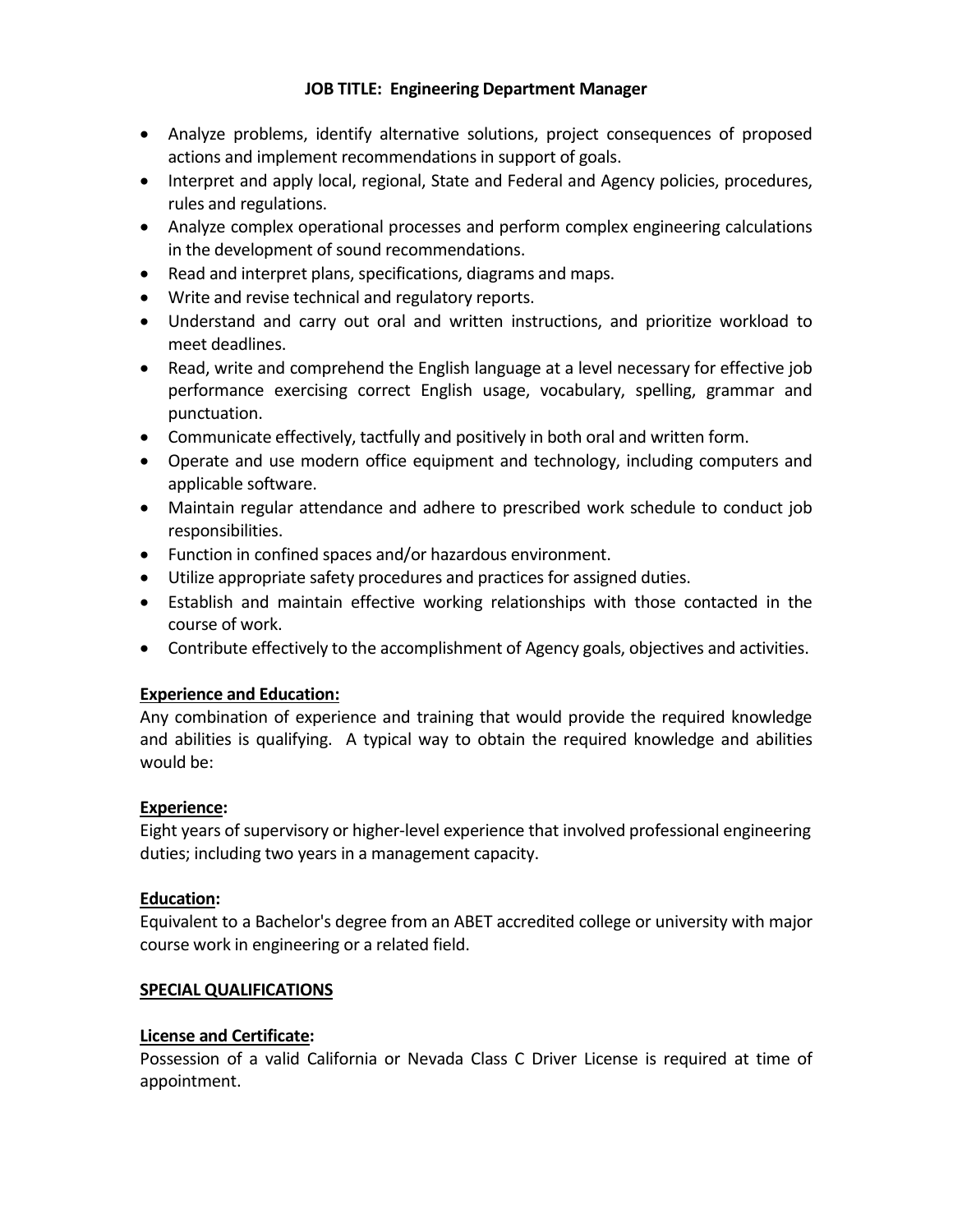- Analyze problems, identify alternative solutions, project consequences of proposed actions and implement recommendations in support of goals.
- Interpret and apply local, regional, State and Federal and Agency policies, procedures, rules and regulations.
- Analyze complex operational processes and perform complex engineering calculations in the development of sound recommendations.
- Read and interpret plans, specifications, diagrams and maps.
- Write and revise technical and regulatory reports.
- Understand and carry out oral and written instructions, and prioritize workload to meet deadlines.
- Read, write and comprehend the English language at a level necessary for effective job performance exercising correct English usage, vocabulary, spelling, grammar and punctuation.
- Communicate effectively, tactfully and positively in both oral and written form.
- Operate and use modern office equipment and technology, including computers and applicable software.
- Maintain regular attendance and adhere to prescribed work schedule to conduct job responsibilities.
- Function in confined spaces and/or hazardous environment.
- Utilize appropriate safety procedures and practices for assigned duties.
- Establish and maintain effective working relationships with those contacted in the course of work.
- Contribute effectively to the accomplishment of Agency goals, objectives and activities.

# **Experience and Education:**

Any combination of experience and training that would provide the required knowledge and abilities is qualifying. A typical way to obtain the required knowledge and abilities would be:

# **Experience:**

Eight years of supervisory or higher-level experience that involved professional engineering duties; including two years in a management capacity.

# **Education:**

Equivalent to a Bachelor's degree from an ABET accredited college or university with major course work in engineering or a related field.

# **SPECIAL QUALIFICATIONS**

# **License and Certificate:**

Possession of a valid California or Nevada Class C Driver License is required at time of appointment.